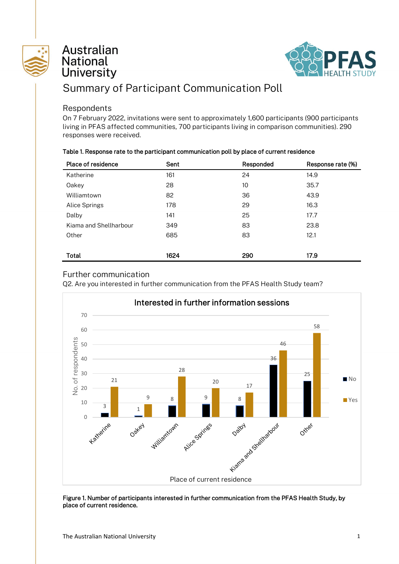

## Australian **National University**



# Summary of Participant Communication Poll

#### Respondents

On 7 February 2022, invitations were sent to approximately 1,600 participants (900 participants living in PFAS affected communities, 700 participants living in comparison communities). 290 responses were received.

| Table 1. Response rate to the participant communication poll by place of current residence |  |  |  |  |
|--------------------------------------------------------------------------------------------|--|--|--|--|
|--------------------------------------------------------------------------------------------|--|--|--|--|

| Place of residence     | Sent | Responded | Response rate (%) |
|------------------------|------|-----------|-------------------|
| Katherine              | 161  | 24        | 14.9              |
| Oakey                  | 28   | 10        | 35.7              |
| Williamtown            | 82   | 36        | 43.9              |
| Alice Springs          | 178  | 29        | 16.3              |
| Dalby                  | 141  | 25        | 17.7              |
| Kiama and Shellharbour | 349  | 83        | 23.8              |
| Other                  | 685  | 83        | 12.1              |
|                        |      |           |                   |
| Total                  | 1624 | 290       | 17.9              |

### Further communication

Q2. Are you interested in further communication from the PFAS Health Study team?



#### Figure 1. Number of participants interested in further communication from the PFAS Health Study, by place of current residence.